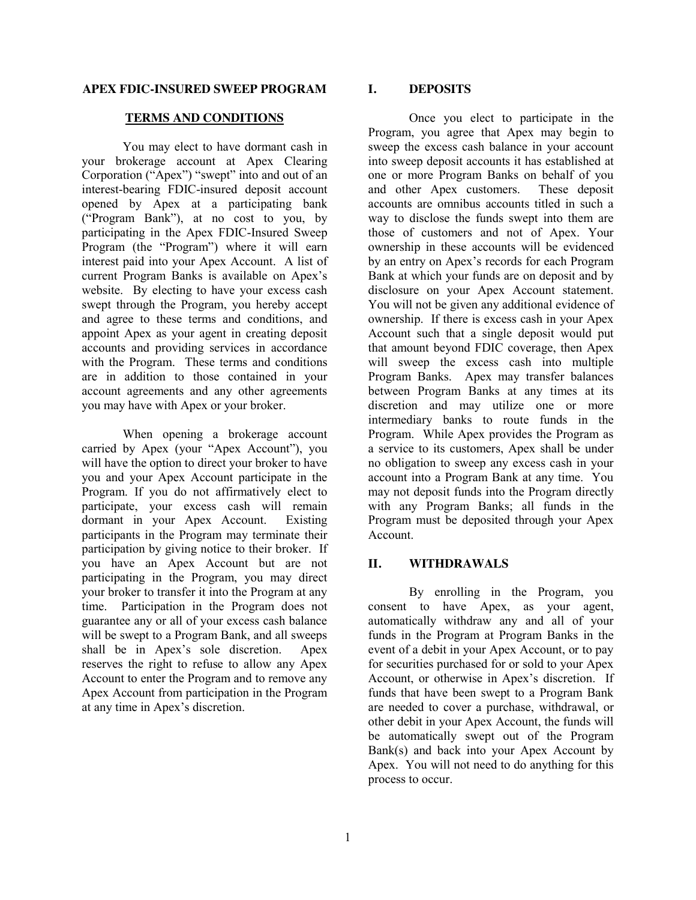### **APEX FDIC-INSURED SWEEP PROGRAM**

### **TERMS AND CONDITIONS**

You may elect to have dormant cash in your brokerage account at Apex Clearing Corporation ("Apex") "swept" into and out of an interest-bearing FDIC-insured deposit account opened by Apex at a participating bank ("Program Bank"), at no cost to you, by participating in the Apex FDIC-Insured Sweep Program (the "Program") where it will earn interest paid into your Apex Account. A list of current Program Banks is available on Apex's website. By electing to have your excess cash swept through the Program, you hereby accept and agree to these terms and conditions, and appoint Apex as your agent in creating deposit accounts and providing services in accordance with the Program. These terms and conditions are in addition to those contained in your account agreements and any other agreements you may have with Apex or your broker.

When opening a brokerage account carried by Apex (your "Apex Account"), you will have the option to direct your broker to have you and your Apex Account participate in the Program. If you do not affirmatively elect to participate, your excess cash will remain dormant in your Apex Account. Existing participants in the Program may terminate their participation by giving notice to their broker. If you have an Apex Account but are not participating in the Program, you may direct your broker to transfer it into the Program at any time. Participation in the Program does not guarantee any or all of your excess cash balance will be swept to a Program Bank, and all sweeps shall be in Apex's sole discretion. Apex reserves the right to refuse to allow any Apex Account to enter the Program and to remove any Apex Account from participation in the Program at any time in Apex's discretion.

## **I. DEPOSITS**

Once you elect to participate in the Program, you agree that Apex may begin to sweep the excess cash balance in your account into sweep deposit accounts it has established at one or more Program Banks on behalf of you and other Apex customers. These deposit accounts are omnibus accounts titled in such a way to disclose the funds swept into them are those of customers and not of Apex. Your ownership in these accounts will be evidenced by an entry on Apex's records for each Program Bank at which your funds are on deposit and by disclosure on your Apex Account statement. You will not be given any additional evidence of ownership. If there is excess cash in your Apex Account such that a single deposit would put that amount beyond FDIC coverage, then Apex will sweep the excess cash into multiple Program Banks. Apex may transfer balances between Program Banks at any times at its discretion and may utilize one or more intermediary banks to route funds in the Program. While Apex provides the Program as a service to its customers, Apex shall be under no obligation to sweep any excess cash in your account into a Program Bank at any time. You may not deposit funds into the Program directly with any Program Banks; all funds in the Program must be deposited through your Apex Account.

# **II. WITHDRAWALS**

By enrolling in the Program, you consent to have Apex, as your agent, automatically withdraw any and all of your funds in the Program at Program Banks in the event of a debit in your Apex Account, or to pay for securities purchased for or sold to your Apex Account, or otherwise in Apex's discretion. If funds that have been swept to a Program Bank are needed to cover a purchase, withdrawal, or other debit in your Apex Account, the funds will be automatically swept out of the Program Bank(s) and back into your Apex Account by Apex. You will not need to do anything for this process to occur.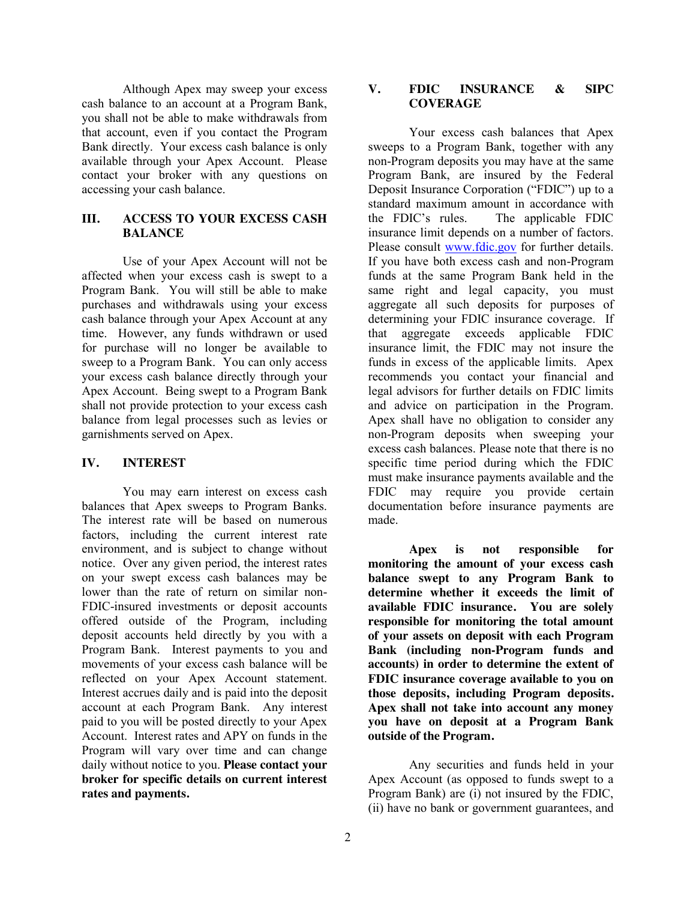Although Apex may sweep your excess cash balance to an account at a Program Bank, you shall not be able to make withdrawals from that account, even if you contact the Program Bank directly. Your excess cash balance is only available through your Apex Account. Please contact your broker with any questions on accessing your cash balance.

# **III. ACCESS TO YOUR EXCESS CASH BALANCE**

Use of your Apex Account will not be affected when your excess cash is swept to a Program Bank. You will still be able to make purchases and withdrawals using your excess cash balance through your Apex Account at any time. However, any funds withdrawn or used for purchase will no longer be available to sweep to a Program Bank. You can only access your excess cash balance directly through your Apex Account. Being swept to a Program Bank shall not provide protection to your excess cash balance from legal processes such as levies or garnishments served on Apex.

### **IV. INTEREST**

You may earn interest on excess cash balances that Apex sweeps to Program Banks. The interest rate will be based on numerous factors, including the current interest rate environment, and is subject to change without notice. Over any given period, the interest rates on your swept excess cash balances may be lower than the rate of return on similar non-FDIC-insured investments or deposit accounts offered outside of the Program, including deposit accounts held directly by you with a Program Bank. Interest payments to you and movements of your excess cash balance will be reflected on your Apex Account statement. Interest accrues daily and is paid into the deposit account at each Program Bank. Any interest paid to you will be posted directly to your Apex Account. Interest rates and APY on funds in the Program will vary over time and can change daily without notice to you. **Please contact your broker for specific details on current interest rates and payments.** 

## **V. FDIC INSURANCE & SIPC COVERAGE**

Your excess cash balances that Apex sweeps to a Program Bank, together with any non-Program deposits you may have at the same Program Bank, are insured by the Federal Deposit Insurance Corporation ("FDIC") up to a standard maximum amount in accordance with the FDIC's rules. The applicable FDIC insurance limit depends on a number of factors. Please consult [www.fdic.gov](http://www.fdic.gov/) for further details. If you have both excess cash and non-Program funds at the same Program Bank held in the same right and legal capacity, you must aggregate all such deposits for purposes of determining your FDIC insurance coverage. If that aggregate exceeds applicable FDIC insurance limit, the FDIC may not insure the funds in excess of the applicable limits. Apex recommends you contact your financial and legal advisors for further details on FDIC limits and advice on participation in the Program. Apex shall have no obligation to consider any non-Program deposits when sweeping your excess cash balances. Please note that there is no specific time period during which the FDIC must make insurance payments available and the FDIC may require you provide certain documentation before insurance payments are made.

**Apex is not responsible for monitoring the amount of your excess cash balance swept to any Program Bank to determine whether it exceeds the limit of available FDIC insurance. You are solely responsible for monitoring the total amount of your assets on deposit with each Program Bank (including non-Program funds and accounts) in order to determine the extent of FDIC insurance coverage available to you on those deposits, including Program deposits. Apex shall not take into account any money you have on deposit at a Program Bank outside of the Program.**

Any securities and funds held in your Apex Account (as opposed to funds swept to a Program Bank) are (i) not insured by the FDIC, (ii) have no bank or government guarantees, and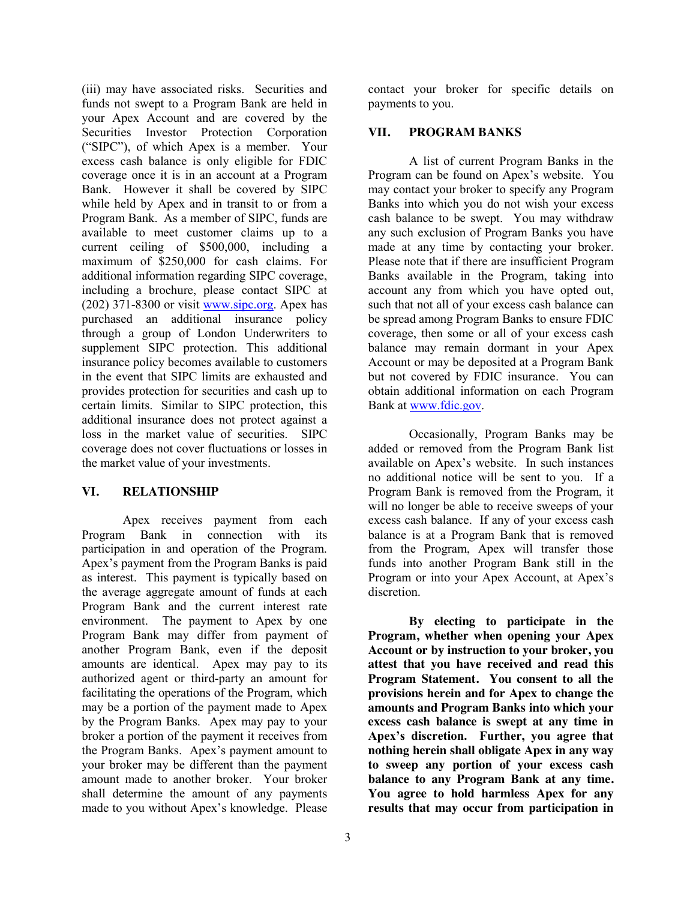(iii) may have associated risks. Securities and funds not swept to a Program Bank are held in your Apex Account and are covered by the Securities Investor Protection Corporation ("SIPC"), of which Apex is a member. Your excess cash balance is only eligible for FDIC coverage once it is in an account at a Program Bank. However it shall be covered by SIPC while held by Apex and in transit to or from a Program Bank. As a member of SIPC, funds are available to meet customer claims up to a current ceiling of \$500,000, including a maximum of \$250,000 for cash claims. For additional information regarding SIPC coverage, including a brochure, please contact SIPC at  $(202)$  371-8300 or visit [www.sipc.org.](http://www.sipc.org/) Apex has purchased an additional insurance policy through a group of London Underwriters to supplement SIPC protection. This additional insurance policy becomes available to customers in the event that SIPC limits are exhausted and provides protection for securities and cash up to certain limits. Similar to SIPC protection, this additional insurance does not protect against a loss in the market value of securities. SIPC coverage does not cover fluctuations or losses in the market value of your investments.

# **VI. RELATIONSHIP**

Apex receives payment from each Program Bank in connection with its participation in and operation of the Program. Apex's payment from the Program Banks is paid as interest. This payment is typically based on the average aggregate amount of funds at each Program Bank and the current interest rate environment. The payment to Apex by one Program Bank may differ from payment of another Program Bank, even if the deposit amounts are identical. Apex may pay to its authorized agent or third-party an amount for facilitating the operations of the Program, which may be a portion of the payment made to Apex by the Program Banks. Apex may pay to your broker a portion of the payment it receives from the Program Banks. Apex's payment amount to your broker may be different than the payment amount made to another broker. Your broker shall determine the amount of any payments made to you without Apex's knowledge. Please

3

contact your broker for specific details on payments to you.

# **VII. PROGRAM BANKS**

A list of current Program Banks in the Program can be found on Apex's website. You may contact your broker to specify any Program Banks into which you do not wish your excess cash balance to be swept. You may withdraw any such exclusion of Program Banks you have made at any time by contacting your broker. Please note that if there are insufficient Program Banks available in the Program, taking into account any from which you have opted out, such that not all of your excess cash balance can be spread among Program Banks to ensure FDIC coverage, then some or all of your excess cash balance may remain dormant in your Apex Account or may be deposited at a Program Bank but not covered by FDIC insurance. You can obtain additional information on each Program Bank at [www.fdic.gov.](http://www.fdic.gov/)

Occasionally, Program Banks may be added or removed from the Program Bank list available on Apex's website. In such instances no additional notice will be sent to you. If a Program Bank is removed from the Program, it will no longer be able to receive sweeps of your excess cash balance. If any of your excess cash balance is at a Program Bank that is removed from the Program, Apex will transfer those funds into another Program Bank still in the Program or into your Apex Account, at Apex's discretion.

**By electing to participate in the Program, whether when opening your Apex Account or by instruction to your broker, you attest that you have received and read this Program Statement. You consent to all the provisions herein and for Apex to change the amounts and Program Banks into which your excess cash balance is swept at any time in Apex's discretion. Further, you agree that nothing herein shall obligate Apex in any way to sweep any portion of your excess cash balance to any Program Bank at any time. You agree to hold harmless Apex for any results that may occur from participation in**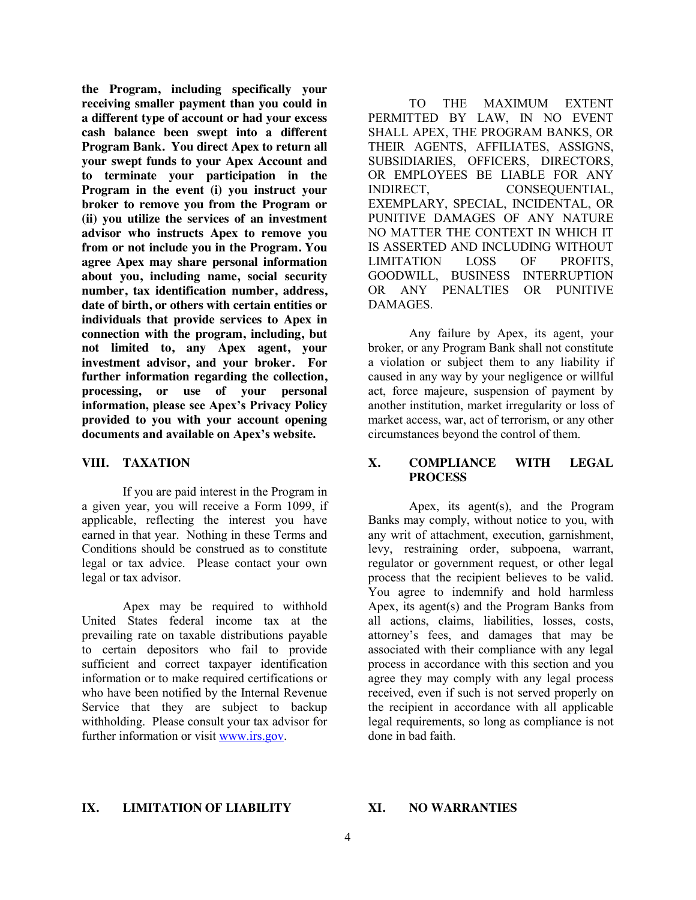**the Program, including specifically your receiving smaller payment than you could in a different type of account or had your excess cash balance been swept into a different Program Bank. You direct Apex to return all your swept funds to your Apex Account and to terminate your participation in the Program in the event (i) you instruct your broker to remove you from the Program or (ii) you utilize the services of an investment advisor who instructs Apex to remove you from or not include you in the Program. You agree Apex may share personal information about you, including name, social security number, tax identification number, address, date of birth, or others with certain entities or individuals that provide services to Apex in connection with the program, including, but not limited to, any Apex agent, your investment advisor, and your broker. For further information regarding the collection, processing, or use of your personal information, please see Apex's Privacy Policy provided to you with your account opening documents and available on Apex's website.**

# **VIII. TAXATION**

If you are paid interest in the Program in a given year, you will receive a Form 1099, if applicable, reflecting the interest you have earned in that year. Nothing in these Terms and Conditions should be construed as to constitute legal or tax advice. Please contact your own legal or tax advisor.

Apex may be required to withhold United States federal income tax at the prevailing rate on taxable distributions payable to certain depositors who fail to provide sufficient and correct taxpayer identification information or to make required certifications or who have been notified by the Internal Revenue Service that they are subject to backup withholding. Please consult your tax advisor for further information or visit [www.irs.gov.](http://www.irs.gov/)

TO THE MAXIMUM EXTENT PERMITTED BY LAW, IN NO EVENT SHALL APEX, THE PROGRAM BANKS, OR THEIR AGENTS, AFFILIATES, ASSIGNS, SUBSIDIARIES, OFFICERS, DIRECTORS, OR EMPLOYEES BE LIABLE FOR ANY INDIRECT, CONSEQUENTIAL, EXEMPLARY, SPECIAL, INCIDENTAL, OR PUNITIVE DAMAGES OF ANY NATURE NO MATTER THE CONTEXT IN WHICH IT IS ASSERTED AND INCLUDING WITHOUT LIMITATION LOSS OF PROFITS, GOODWILL, BUSINESS INTERRUPTION OR ANY PENALTIES OR PUNITIVE DAMAGES.

Any failure by Apex, its agent, your broker, or any Program Bank shall not constitute a violation or subject them to any liability if caused in any way by your negligence or willful act, force majeure, suspension of payment by another institution, market irregularity or loss of market access, war, act of terrorism, or any other circumstances beyond the control of them.

# **X. COMPLIANCE WITH LEGAL PROCESS**

Apex, its agent(s), and the Program Banks may comply, without notice to you, with any writ of attachment, execution, garnishment, levy, restraining order, subpoena, warrant, regulator or government request, or other legal process that the recipient believes to be valid. You agree to indemnify and hold harmless Apex, its agent(s) and the Program Banks from all actions, claims, liabilities, losses, costs, attorney's fees, and damages that may be associated with their compliance with any legal process in accordance with this section and you agree they may comply with any legal process received, even if such is not served properly on the recipient in accordance with all applicable legal requirements, so long as compliance is not done in bad faith.

## **IX. LIMITATION OF LIABILITY**

### **XI. NO WARRANTIES**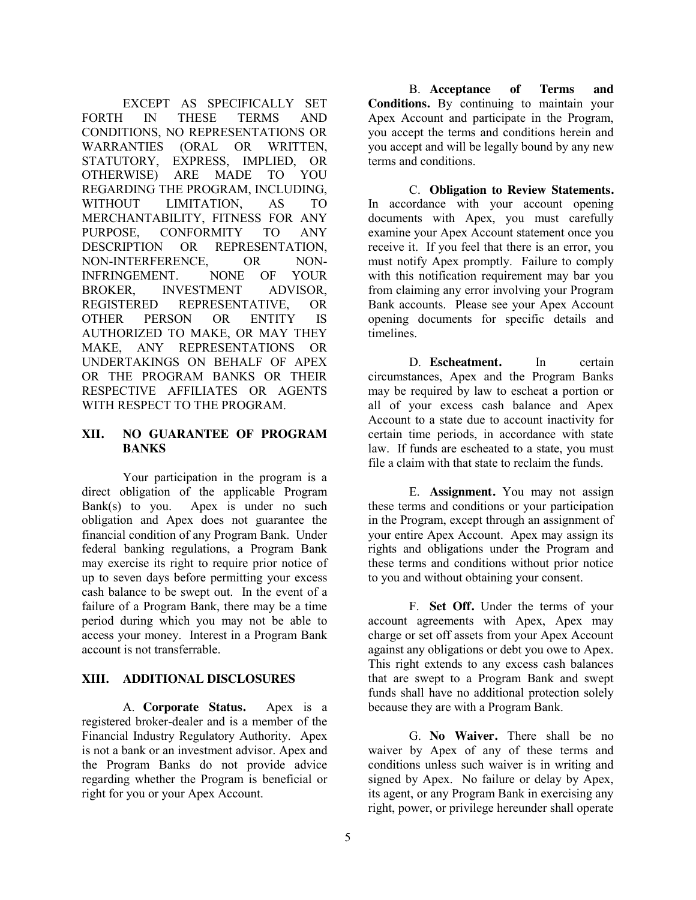EXCEPT AS SPECIFICALLY SET FORTH IN THESE TERMS AND CONDITIONS, NO REPRESENTATIONS OR WARRANTIES (ORAL OR WRITTEN, STATUTORY, EXPRESS, IMPLIED, OR OTHERWISE) ARE MADE TO YOU REGARDING THE PROGRAM, INCLUDING, WITHOUT LIMITATION, AS TO MERCHANTABILITY, FITNESS FOR ANY PURPOSE, CONFORMITY TO ANY DESCRIPTION OR REPRESENTATION, NON-INTERFERENCE, OR NON-INFRINGEMENT. NONE OF YOUR BROKER, INVESTMENT ADVISOR, REGISTERED REPRESENTATIVE, OR OTHER PERSON OR ENTITY IS AUTHORIZED TO MAKE, OR MAY THEY MAKE, ANY REPRESENTATIONS OR UNDERTAKINGS ON BEHALF OF APEX OR THE PROGRAM BANKS OR THEIR RESPECTIVE AFFILIATES OR AGENTS WITH RESPECT TO THE PROGRAM.

## **XII. NO GUARANTEE OF PROGRAM BANKS**

Your participation in the program is a direct obligation of the applicable Program Bank(s) to you. Apex is under no such obligation and Apex does not guarantee the financial condition of any Program Bank. Under federal banking regulations, a Program Bank may exercise its right to require prior notice of up to seven days before permitting your excess cash balance to be swept out. In the event of a failure of a Program Bank, there may be a time period during which you may not be able to access your money. Interest in a Program Bank account is not transferrable.

# **XIII. ADDITIONAL DISCLOSURES**

A. **Corporate Status.** Apex is a registered broker-dealer and is a member of the Financial Industry Regulatory Authority. Apex is not a bank or an investment advisor. Apex and the Program Banks do not provide advice regarding whether the Program is beneficial or right for you or your Apex Account.

B. **Acceptance of Terms and Conditions.** By continuing to maintain your Apex Account and participate in the Program, you accept the terms and conditions herein and you accept and will be legally bound by any new terms and conditions.

C. **Obligation to Review Statements.**  In accordance with your account opening documents with Apex, you must carefully examine your Apex Account statement once you receive it. If you feel that there is an error, you must notify Apex promptly. Failure to comply with this notification requirement may bar you from claiming any error involving your Program Bank accounts. Please see your Apex Account opening documents for specific details and timelines.

D. **Escheatment.** In certain circumstances, Apex and the Program Banks may be required by law to escheat a portion or all of your excess cash balance and Apex Account to a state due to account inactivity for certain time periods, in accordance with state law. If funds are escheated to a state, you must file a claim with that state to reclaim the funds.

E. **Assignment.** You may not assign these terms and conditions or your participation in the Program, except through an assignment of your entire Apex Account. Apex may assign its rights and obligations under the Program and these terms and conditions without prior notice to you and without obtaining your consent.

F. **Set Off.** Under the terms of your account agreements with Apex, Apex may charge or set off assets from your Apex Account against any obligations or debt you owe to Apex. This right extends to any excess cash balances that are swept to a Program Bank and swept funds shall have no additional protection solely because they are with a Program Bank.

G. **No Waiver.** There shall be no waiver by Apex of any of these terms and conditions unless such waiver is in writing and signed by Apex. No failure or delay by Apex, its agent, or any Program Bank in exercising any right, power, or privilege hereunder shall operate